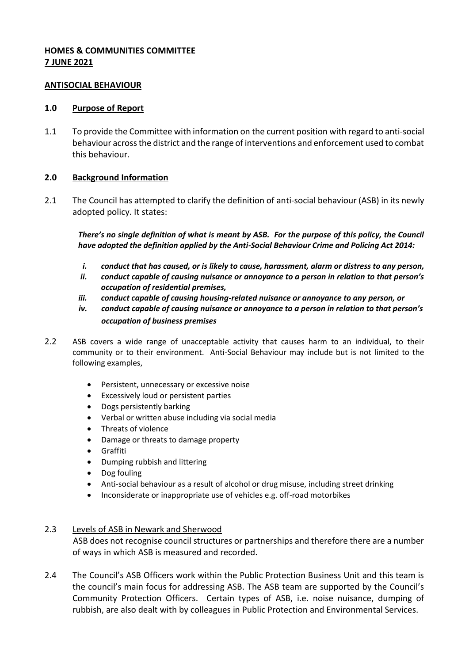### **HOMES & COMMUNITIES COMMITTEE 7 JUNE 2021**

#### **ANTISOCIAL BEHAVIOUR**

#### **1.0 Purpose of Report**

1.1 To provide the Committee with information on the current position with regard to anti-social behaviour across the district and the range of interventions and enforcement used to combat this behaviour.

# **2.0 Background Information**

2.1 The Council has attempted to clarify the definition of anti-social behaviour (ASB) in its newly adopted policy. It states:

*There's no single definition of what is meant by ASB. For the purpose of this policy, the Council have adopted the definition applied by the Anti-Social Behaviour Crime and Policing Act 2014:*

- *i. conduct that has caused, or is likely to cause, harassment, alarm or distress to any person,*
- *ii. conduct capable of causing nuisance or annoyance to a person in relation to that person's occupation of residential premises,*
- *iii. conduct capable of causing housing-related nuisance or annoyance to any person, or*
- *iv. conduct capable of causing nuisance or annoyance to a person in relation to that person's occupation of business premises*
- 2.2 ASB covers a wide range of unacceptable activity that causes harm to an individual, to their community or to their environment. Anti-Social Behaviour may include but is not limited to the following examples,
	- **•** Persistent, unnecessary or excessive noise
	- Excessively loud or persistent parties
	- Dogs persistently barking
	- Verbal or written abuse including via social media
	- Threats of violence
	- Damage or threats to damage property
	- Graffiti
	- Dumping rubbish and littering
	- Dog fouling
	- Anti-social behaviour as a result of alcohol or drug misuse, including street drinking
	- Inconsiderate or inappropriate use of vehicles e.g. off-road motorbikes

# 2.3 Levels of ASB in Newark and Sherwood

ASB does not recognise council structures or partnerships and therefore there are a number of ways in which ASB is measured and recorded.

2.4 The Council's ASB Officers work within the Public Protection Business Unit and this team is the council's main focus for addressing ASB. The ASB team are supported by the Council's Community Protection Officers. Certain types of ASB, i.e. noise nuisance, dumping of rubbish, are also dealt with by colleagues in Public Protection and Environmental Services.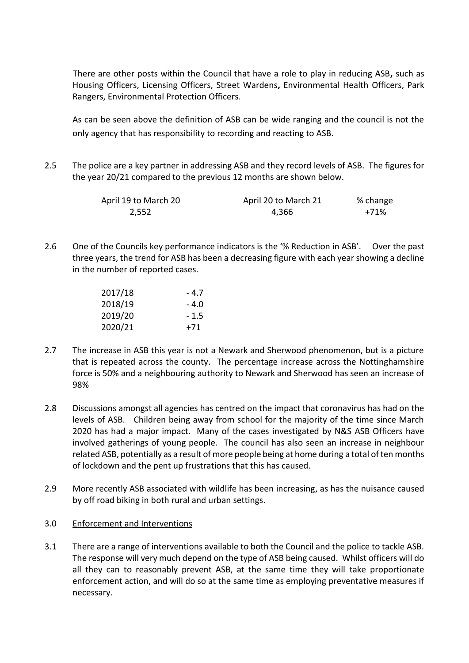There are other posts within the Council that have a role to play in reducing ASB**,** such as Housing Officers, Licensing Officers, Street Wardens**,** Environmental Health Officers, Park Rangers, Environmental Protection Officers.

As can be seen above the definition of ASB can be wide ranging and the council is not the only agency that has responsibility to recording and reacting to ASB.

2.5 The police are a key partner in addressing ASB and they record levels of ASB. The figures for the year 20/21 compared to the previous 12 months are shown below.

| April 19 to March 20 | April 20 to March 21 | % change |
|----------------------|----------------------|----------|
| 2,552                | 4,366                | +71%     |

2.6 One of the Councils key performance indicators is the '% Reduction in ASB'. Over the past three years, the trend for ASB has been a decreasing figure with each year showing a decline in the number of reported cases.

| 2017/18 | - 4.7  |
|---------|--------|
| 2018/19 | - 4.0  |
| 2019/20 | $-1.5$ |
| 2020/21 | +71    |

- 2.7 The increase in ASB this year is not a Newark and Sherwood phenomenon, but is a picture that is repeated across the county. The percentage increase across the Nottinghamshire force is 50% and a neighbouring authority to Newark and Sherwood has seen an increase of 98%
- 2.8 Discussions amongst all agencies has centred on the impact that coronavirus has had on the levels of ASB. Children being away from school for the majority of the time since March 2020 has had a major impact. Many of the cases investigated by N&S ASB Officers have involved gatherings of young people. The council has also seen an increase in neighbour related ASB, potentially as a result of more people being at home during a total of ten months of lockdown and the pent up frustrations that this has caused.
- 2.9 More recently ASB associated with wildlife has been increasing, as has the nuisance caused by off road biking in both rural and urban settings.
- 3.0 Enforcement and Interventions
- 3.1 There are a range of interventions available to both the Council and the police to tackle ASB. The response will very much depend on the type of ASB being caused. Whilst officers will do all they can to reasonably prevent ASB, at the same time they will take proportionate enforcement action, and will do so at the same time as employing preventative measures if necessary.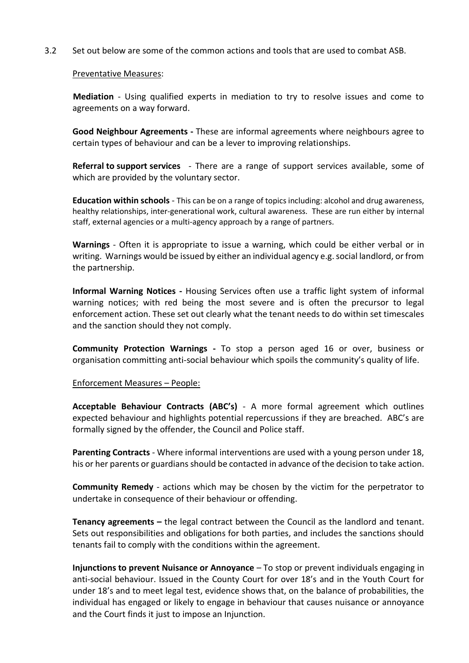3.2 Set out below are some of the common actions and tools that are used to combat ASB.

#### Preventative Measures:

**Mediation** - Using qualified experts in mediation to try to resolve issues and come to agreements on a way forward.

**Good Neighbour Agreements -** These are informal agreements where neighbours agree to certain types of behaviour and can be a lever to improving relationships.

**Referral to support services** - There are a range of support services available, some of which are provided by the voluntary sector.

**Education within schools** - This can be on a range of topics including: alcohol and drug awareness, healthy relationships, inter-generational work, cultural awareness. These are run either by internal staff, external agencies or a multi-agency approach by a range of partners.

**Warnings** - Often it is appropriate to issue a warning, which could be either verbal or in writing. Warnings would be issued by either an individual agency e.g. social landlord, or from the partnership.

**Informal Warning Notices -** Housing Services often use a traffic light system of informal warning notices; with red being the most severe and is often the precursor to legal enforcement action. These set out clearly what the tenant needs to do within set timescales and the sanction should they not comply.

**Community Protection Warnings -** To stop a person aged 16 or over, business or organisation committing anti-social behaviour which spoils the community's quality of life.

#### Enforcement Measures – People:

**Acceptable Behaviour Contracts (ABC's)** - A more formal agreement which outlines expected behaviour and highlights potential repercussions if they are breached. ABC's are formally signed by the offender, the Council and Police staff.

**Parenting Contracts** - Where informal interventions are used with a young person under 18, his or her parents or guardians should be contacted in advance of the decision to take action.

**Community Remedy** - actions which may be chosen by the victim for the perpetrator to undertake in consequence of their behaviour or offending.

**Tenancy agreements –** the legal contract between the Council as the landlord and tenant. Sets out responsibilities and obligations for both parties, and includes the sanctions should tenants fail to comply with the conditions within the agreement.

**Injunctions to prevent Nuisance or Annoyance** – To stop or prevent individuals engaging in anti-social behaviour. Issued in the County Court for over 18's and in the Youth Court for under 18's and to meet legal test, evidence shows that, on the balance of probabilities, the individual has engaged or likely to engage in behaviour that causes nuisance or annoyance and the Court finds it just to impose an Injunction.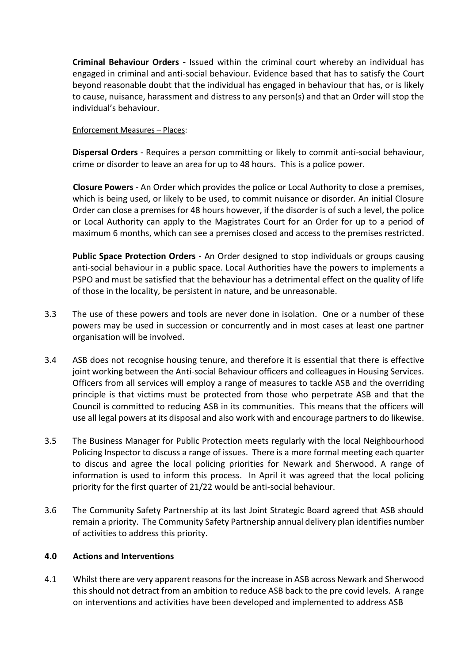**Criminal Behaviour Orders -** Issued within the criminal court whereby an individual has engaged in criminal and anti-social behaviour. Evidence based that has to satisfy the Court beyond reasonable doubt that the individual has engaged in behaviour that has, or is likely to cause, nuisance, harassment and distress to any person(s) and that an Order will stop the individual's behaviour.

Enforcement Measures – Places:

**Dispersal Orders** - Requires a person committing or likely to commit anti-social behaviour, crime or disorder to leave an area for up to 48 hours. This is a police power.

**Closure Powers** - An Order which provides the police or Local Authority to close a premises, which is being used, or likely to be used, to commit nuisance or disorder. An initial Closure Order can close a premises for 48 hours however, if the disorder is of such a level, the police or Local Authority can apply to the Magistrates Court for an Order for up to a period of maximum 6 months, which can see a premises closed and access to the premises restricted.

**Public Space Protection Orders** - An Order designed to stop individuals or groups causing anti-social behaviour in a public space. Local Authorities have the powers to implements a PSPO and must be satisfied that the behaviour has a detrimental effect on the quality of life of those in the locality, be persistent in nature, and be unreasonable.

- 3.3 The use of these powers and tools are never done in isolation. One or a number of these powers may be used in succession or concurrently and in most cases at least one partner organisation will be involved.
- 3.4 ASB does not recognise housing tenure, and therefore it is essential that there is effective joint working between the Anti-social Behaviour officers and colleagues in Housing Services. Officers from all services will employ a range of measures to tackle ASB and the overriding principle is that victims must be protected from those who perpetrate ASB and that the Council is committed to reducing ASB in its communities. This means that the officers will use all legal powers at its disposal and also work with and encourage partners to do likewise.
- 3.5 The Business Manager for Public Protection meets regularly with the local Neighbourhood Policing Inspector to discuss a range of issues. There is a more formal meeting each quarter to discus and agree the local policing priorities for Newark and Sherwood. A range of information is used to inform this process. In April it was agreed that the local policing priority for the first quarter of 21/22 would be anti-social behaviour.
- 3.6 The Community Safety Partnership at its last Joint Strategic Board agreed that ASB should remain a priority. The Community Safety Partnership annual delivery plan identifies number of activities to address this priority.

#### **4.0 Actions and Interventions**

4.1 Whilst there are very apparent reasons for the increase in ASB across Newark and Sherwood this should not detract from an ambition to reduce ASB back to the pre covid levels. A range on interventions and activities have been developed and implemented to address ASB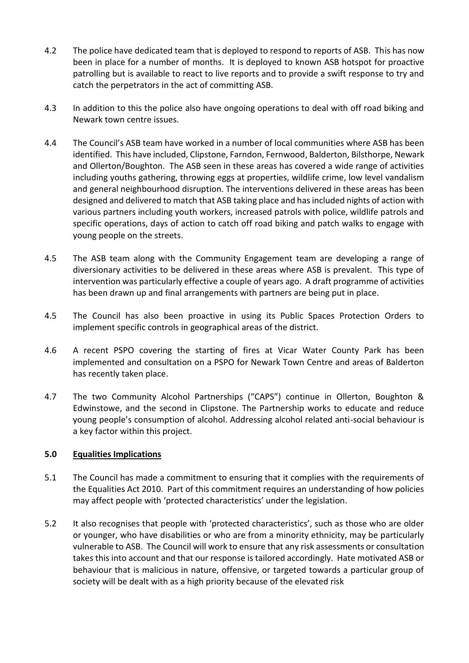- 4.2 The police have dedicated team that is deployed to respond to reports of ASB. This has now been in place for a number of months. It is deployed to known ASB hotspot for proactive patrolling but is available to react to live reports and to provide a swift response to try and catch the perpetrators in the act of committing ASB.
- 4.3 In addition to this the police also have ongoing operations to deal with off road biking and Newark town centre issues.
- 4.4 The Council's ASB team have worked in a number of local communities where ASB has been identified. This have included, Clipstone, Farndon, Fernwood, Balderton, Bilsthorpe, Newark and Ollerton/Boughton. The ASB seen in these areas has covered a wide range of activities including youths gathering, throwing eggs at properties, wildlife crime, low level vandalism and general neighbourhood disruption. The interventions delivered in these areas has been designed and delivered to match that ASB taking place and has included nights of action with various partners including youth workers, increased patrols with police, wildlife patrols and specific operations, days of action to catch off road biking and patch walks to engage with young people on the streets.
- 4.5 The ASB team along with the Community Engagement team are developing a range of diversionary activities to be delivered in these areas where ASB is prevalent. This type of intervention was particularly effective a couple of years ago. A draft programme of activities has been drawn up and final arrangements with partners are being put in place.
- 4.5 The Council has also been proactive in using its Public Spaces Protection Orders to implement specific controls in geographical areas of the district.
- 4.6 A recent PSPO covering the starting of fires at Vicar Water County Park has been implemented and consultation on a PSPO for Newark Town Centre and areas of Balderton has recently taken place.
- 4.7 The two Community Alcohol Partnerships ("CAPS") continue in Ollerton, Boughton & Edwinstowe, and the second in Clipstone. The Partnership works to educate and reduce young people's consumption of alcohol. Addressing alcohol related anti-social behaviour is a key factor within this project.

# **5.0 Equalities Implications**

- 5.1 The Council has made a commitment to ensuring that it complies with the requirements of the Equalities Act 2010. Part of this commitment requires an understanding of how policies may affect people with 'protected characteristics' under the legislation.
- 5.2 It also recognises that people with 'protected characteristics', such as those who are older or younger, who have disabilities or who are from a minority ethnicity, may be particularly vulnerable to ASB. The Council will work to ensure that any risk assessments or consultation takes this into account and that our response is tailored accordingly. Hate motivated ASB or behaviour that is malicious in nature, offensive, or targeted towards a particular group of society will be dealt with as a high priority because of the elevated risk